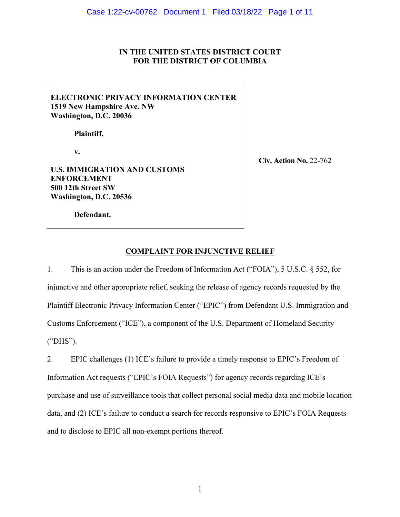# **IN THE UNITED STATES DISTRICT COURT FOR THE DISTRICT OF COLUMBIA**

# **ELECTRONIC PRIVACY INFORMATION CENTER 1519 New Hampshire Ave. NW Washington, D.C. 20036**

**Plaintiff,**

**v.**

**U.S. IMMIGRATION AND CUSTOMS ENFORCEMENT 500 12th Street SW Washington, D.C. 20536**

**Civ. Action No.** 22-762

**Defendant.**

# **COMPLAINT FOR INJUNCTIVE RELIEF**

1. This is an action under the Freedom of Information Act ("FOIA"), 5 U.S.C. § 552, for injunctive and other appropriate relief, seeking the release of agency records requested by the Plaintiff Electronic Privacy Information Center ("EPIC") from Defendant U.S. Immigration and Customs Enforcement ("ICE"), a component of the U.S. Department of Homeland Security ("DHS").

2. EPIC challenges (1) ICE's failure to provide a timely response to EPIC's Freedom of Information Act requests ("EPIC's FOIA Requests") for agency records regarding ICE's purchase and use of surveillance tools that collect personal social media data and mobile location data, and (2) ICE's failure to conduct a search for records responsive to EPIC's FOIA Requests and to disclose to EPIC all non-exempt portions thereof.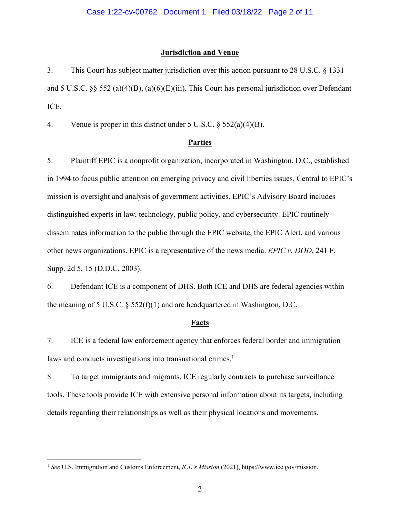## **Jurisdiction and Venue**

3. This Court has subject matter jurisdiction over this action pursuant to 28 U.S.C. § 1331 and 5 U.S.C. §§ 552 (a)(4)(B), (a)(6)(E)(iii). This Court has personal jurisdiction over Defendant ICE.

4. Venue is proper in this district under 5 U.S.C. § 552(a)(4)(B).

#### **Parties**

5. Plaintiff EPIC is a nonprofit organization, incorporated in Washington, D.C., established in 1994 to focus public attention on emerging privacy and civil liberties issues. Central to EPIC's mission is oversight and analysis of government activities. EPIC's Advisory Board includes distinguished experts in law, technology, public policy, and cybersecurity. EPIC routinely disseminates information to the public through the EPIC website, the EPIC Alert, and various other news organizations. EPIC is a representative of the news media. *EPIC v. DOD*, 241 F. Supp. 2d 5, 15 (D.D.C. 2003).

6. Defendant ICE is a component of DHS. Both ICE and DHS are federal agencies within the meaning of 5 U.S.C.  $\S$  552(f)(1) and are headquartered in Washington, D.C.

# **Facts**

7. ICE is a federal law enforcement agency that enforces federal border and immigration laws and conducts investigations into transnational crimes.<sup>1</sup>

8. To target immigrants and migrants, ICE regularly contracts to purchase surveillance tools. These tools provide ICE with extensive personal information about its targets, including details regarding their relationships as well as their physical locations and movements.

<sup>&</sup>lt;sup>1</sup> See U.S. Immigration and Customs Enforcement, *ICE's Mission* (2021), https://www.ice.gov/mission.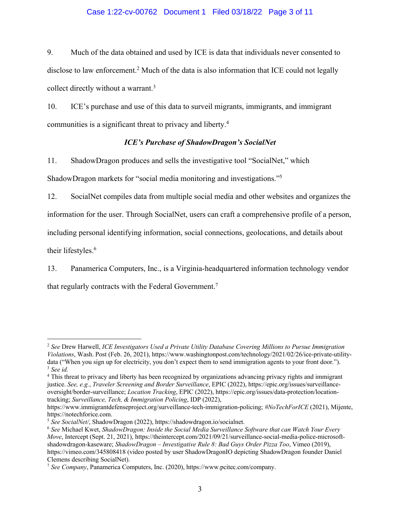## Case 1:22-cv-00762 Document 1 Filed 03/18/22 Page 3 of 11

9. Much of the data obtained and used by ICE is data that individuals never consented to disclose to law enforcement. <sup>2</sup> Much of the data is also information that ICE could not legally collect directly without a warrant.<sup>3</sup>

10. ICE's purchase and use of this data to surveil migrants, immigrants, and immigrant communities is a significant threat to privacy and liberty.4

## *ICE's Purchase of ShadowDragon's SocialNet*

11. ShadowDragon produces and sells the investigative tool "SocialNet," which ShadowDragon markets for "social media monitoring and investigations."5

12. SocialNet compiles data from multiple social media and other websites and organizes the information for the user. Through SocialNet, users can craft a comprehensive profile of a person, including personal identifying information, social connections, geolocations, and details about their lifestyles. 6

13. Panamerica Computers, Inc., is a Virginia-headquartered information technology vendor that regularly contracts with the Federal Government.<sup>7</sup>

<sup>2</sup> *See* Drew Harwell, *ICE Investigators Used a Private Utility Database Covering Millions to Pursue Immigration Violations*, Wash. Post (Feb. 26, 2021), https://www.washingtonpost.com/technology/2021/02/26/ice-private-utilitydata ("When you sign up for electricity, you don't expect them to send immigration agents to your front door."). <sup>3</sup> *See id.*

<sup>&</sup>lt;sup>4</sup> This threat to privacy and liberty has been recognized by organizations advancing privacy rights and immigrant justice. *See, e.g.*, *Traveler Screening and Border Surveillance*, EPIC (2022), https://epic.org/issues/surveillanceoversight/border-surveillance; *Location Tracking*, EPIC (2022), https://epic.org/issues/data-protection/locationtracking; *Surveillance, Tech, & Immigration Policing*, IDP (2022),

https://www.immigrantdefenseproject.org/surveillance-tech-immigration-policing; *#NoTechForICE* (2021), Mijente, https://notechforice.com.

<sup>5</sup> *See SocialNet/*, ShadowDragon (2022), https://shadowdragon.io/socialnet. 6 *See* Michael Kwet, *ShadowDragon: Inside the Social Media Surveillance Software that can Watch Your Every Move*, Intercept (Sept. 21, 2021), https://theintercept.com/2021/09/21/surveillance-social-media-police-microsoftshadowdragon-kaseware; *ShadowDragon – Investigative Rule 8: Bad Guys Order Pizza Too*, Vimeo (2019), https://vimeo.com/345808418 (video posted by user ShadowDragonIO depicting ShadowDragon founder Daniel Clemens describing SocialNet).

<sup>7</sup> *See Company*, Panamerica Computers, Inc. (2020), https://www.pcitec.com/company.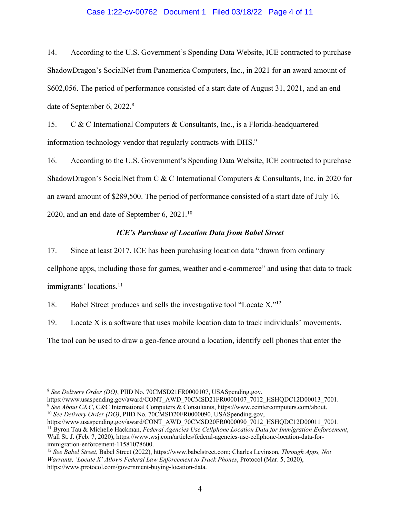#### Case 1:22-cv-00762 Document 1 Filed 03/18/22 Page 4 of 11

14. According to the U.S. Government's Spending Data Website, ICE contracted to purchase ShadowDragon's SocialNet from Panamerica Computers, Inc., in 2021 for an award amount of \$602,056. The period of performance consisted of a start date of August 31, 2021, and an end date of September 6, 2022.8

15. C & C International Computers & Consultants, Inc., is a Florida-headquartered information technology vendor that regularly contracts with DHS.9

16. According to the U.S. Government's Spending Data Website, ICE contracted to purchase ShadowDragon's SocialNet from C & C International Computers & Consultants, Inc. in 2020 for an award amount of \$289,500. The period of performance consisted of a start date of July 16, 2020, and an end date of September 6, 2021. $^{10}$ 

#### *ICE's Purchase of Location Data from Babel Street*

17. Since at least 2017, ICE has been purchasing location data "drawn from ordinary

cellphone apps, including those for games, weather and e-commerce" and using that data to track immigrants' locations. 11

18. Babel Street produces and sells the investigative tool "Locate X."12

19. Locate X is a software that uses mobile location data to track individuals' movements.

The tool can be used to draw a geo-fence around a location, identify cell phones that enter the

<sup>8</sup> *See Delivery Order (DO)*, PIID No. 70CMSD21FR0000107, USASpending.gov,

https://www.usaspending.gov/award/CONT\_AWD\_70CMSD21FR0000107\_7012\_HSHQDC12D00013\_7001.<br><sup>9</sup> See About C&C, C&C International Computers & Consultants, https://www.ccintercomputers.com/about. <sup>10</sup> See Delivery Order (DO), PIID No. 70CMSD20FR0000090, USASpending.gov,

https://www.usaspending.gov/award/CONT\_AWD\_70CMSD20FR0000090\_7012\_HSHQDC12D00011\_7001. <sup>11</sup> Byron Tau & Michelle Hackman, *Federal Agencies Use Cellphone Location Data for Immigration Enforcement*, Wall St. J. (Feb. 7, 2020), https://www.wsj.com/articles/federal-agencies-use-cellphone-location-data-forimmigration-enforcement-11581078600.

<sup>12</sup> *See Babel Street*, Babel Street (2022), https://www.babelstreet.com; Charles Levinson, *Through Apps, Not Warrants, 'Locate X' Allows Federal Law Enforcement to Track Phones*, Protocol (Mar. 5, 2020), https://www.protocol.com/government-buying-location-data.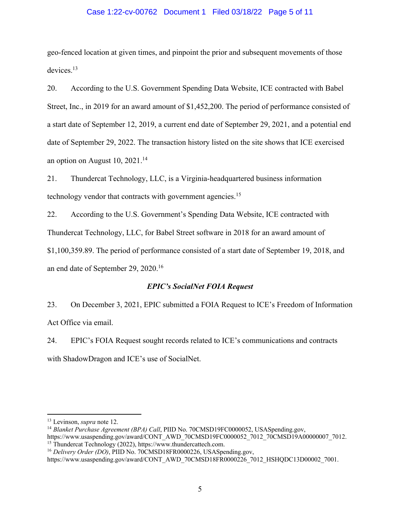## Case 1:22-cv-00762 Document 1 Filed 03/18/22 Page 5 of 11

geo-fenced location at given times, and pinpoint the prior and subsequent movements of those devices. 13

20. According to the U.S. Government Spending Data Website, ICE contracted with Babel Street, Inc., in 2019 for an award amount of \$1,452,200. The period of performance consisted of a start date of September 12, 2019, a current end date of September 29, 2021, and a potential end date of September 29, 2022. The transaction history listed on the site shows that ICE exercised an option on August 10, 2021.14

21. Thundercat Technology, LLC, is a Virginia-headquartered business information technology vendor that contracts with government agencies.<sup>15</sup>

22. According to the U.S. Government's Spending Data Website, ICE contracted with Thundercat Technology, LLC, for Babel Street software in 2018 for an award amount of \$1,100,359.89. The period of performance consisted of a start date of September 19, 2018, and an end date of September 29, 2020. 16

## *EPIC's SocialNet FOIA Request*

23. On December 3, 2021, EPIC submitted a FOIA Request to ICE's Freedom of Information Act Office via email.

24. EPIC's FOIA Request sought records related to ICE's communications and contracts with ShadowDragon and ICE's use of SocialNet.

<sup>13</sup> Levinson, *supra* note 12.

<sup>&</sup>lt;sup>14</sup> Blanket Purchase Agreement (BPA) Call, PIID No. 70CMSD19FC0000052, USASpending.gov, https://www.usaspending.gov/award/CONT\_AWD\_70CMSD19FC0000052\_7012\_70CMSD19A00000007\_7012.<br><sup>15</sup> Thundercat Technology (2022), https://www.thundercattech.com.<br><sup>16</sup> Delivery Order (DO), PIID No. 70CMSD18FR0000226, USASpending

https://www.usaspending.gov/award/CONT\_AWD\_70CMSD18FR0000226\_7012\_HSHQDC13D00002\_7001.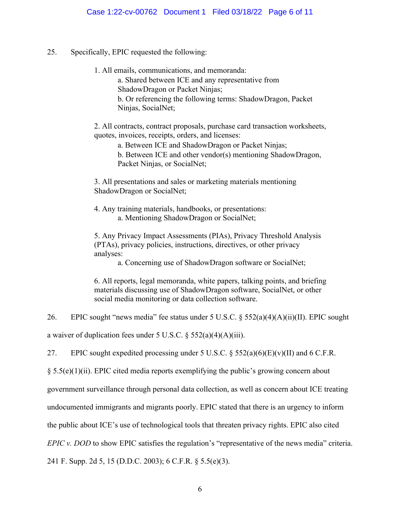25. Specifically, EPIC requested the following:

1. All emails, communications, and memoranda: a. Shared between ICE and any representative from ShadowDragon or Packet Ninjas; b. Or referencing the following terms: ShadowDragon, Packet Ninjas, SocialNet;

2. All contracts, contract proposals, purchase card transaction worksheets, quotes, invoices, receipts, orders, and licenses:

a. Between ICE and ShadowDragon or Packet Ninjas; b. Between ICE and other vendor(s) mentioning ShadowDragon, Packet Ninjas, or SocialNet;

3. All presentations and sales or marketing materials mentioning ShadowDragon or SocialNet;

4. Any training materials, handbooks, or presentations: a. Mentioning ShadowDragon or SocialNet;

5. Any Privacy Impact Assessments (PIAs), Privacy Threshold Analysis (PTAs), privacy policies, instructions, directives, or other privacy analyses:

a. Concerning use of ShadowDragon software or SocialNet;

6. All reports, legal memoranda, white papers, talking points, and briefing materials discussing use of ShadowDragon software, SocialNet, or other social media monitoring or data collection software.

26. EPIC sought "news media" fee status under 5 U.S.C. § 552(a)(4)(A)(ii)(II). EPIC sought

a waiver of duplication fees under 5 U.S.C.  $\S$  552(a)(4)(A)(iii).

27. EPIC sought expedited processing under 5 U.S.C.  $\frac{552(a)(6)(E)}{V}$  and 6 C.F.R.

 $§ 5.5(e)(1)(ii)$ . EPIC cited media reports exemplifying the public's growing concern about

government surveillance through personal data collection, as well as concern about ICE treating

undocumented immigrants and migrants poorly. EPIC stated that there is an urgency to inform

the public about ICE's use of technological tools that threaten privacy rights. EPIC also cited

*EPIC v. DOD* to show EPIC satisfies the regulation's "representative of the news media" criteria.

241 F. Supp. 2d 5, 15 (D.D.C. 2003); 6 C.F.R. § 5.5(e)(3).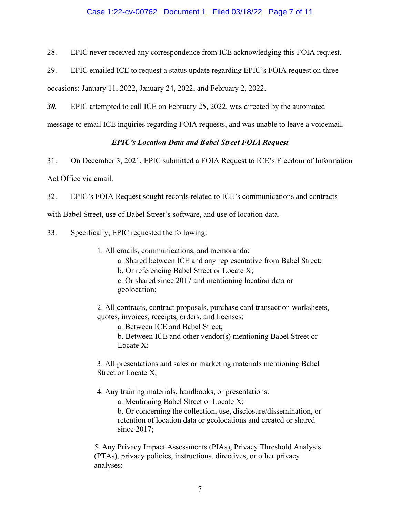## Case 1:22-cv-00762 Document 1 Filed 03/18/22 Page 7 of 11

28. EPIC never received any correspondence from ICE acknowledging this FOIA request.

29. EPIC emailed ICE to request a status update regarding EPIC's FOIA request on three

occasions: January 11, 2022, January 24, 2022, and February 2, 2022.

*30.* EPIC attempted to call ICE on February 25, 2022, was directed by the automated

message to email ICE inquiries regarding FOIA requests, and was unable to leave a voicemail.

## *EPIC's Location Data and Babel Street FOIA Request*

31. On December 3, 2021, EPIC submitted a FOIA Request to ICE's Freedom of Information

Act Office via email.

32. EPIC's FOIA Request sought records related to ICE's communications and contracts

with Babel Street, use of Babel Street's software, and use of location data.

33. Specifically, EPIC requested the following:

1. All emails, communications, and memoranda:

a. Shared between ICE and any representative from Babel Street;

b. Or referencing Babel Street or Locate X;

c. Or shared since 2017 and mentioning location data or geolocation;

2. All contracts, contract proposals, purchase card transaction worksheets, quotes, invoices, receipts, orders, and licenses:

a. Between ICE and Babel Street;

b. Between ICE and other vendor(s) mentioning Babel Street or Locate X;

3. All presentations and sales or marketing materials mentioning Babel Street or Locate X;

4. Any training materials, handbooks, or presentations:

a. Mentioning Babel Street or Locate X;

b. Or concerning the collection, use, disclosure/dissemination, or retention of location data or geolocations and created or shared since 2017;

5. Any Privacy Impact Assessments (PIAs), Privacy Threshold Analysis (PTAs), privacy policies, instructions, directives, or other privacy analyses: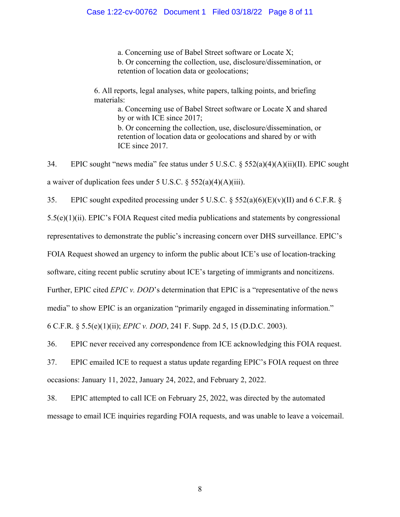a. Concerning use of Babel Street software or Locate X; b. Or concerning the collection, use, disclosure/dissemination, or retention of location data or geolocations;

6. All reports, legal analyses, white papers, talking points, and briefing materials:

> a. Concerning use of Babel Street software or Locate X and shared by or with ICE since 2017; b. Or concerning the collection, use, disclosure/dissemination, or retention of location data or geolocations and shared by or with ICE since 2017.

34. EPIC sought "news media" fee status under 5 U.S.C. § 552(a)(4)(A)(ii)(II). EPIC sought a waiver of duplication fees under 5 U.S.C. § 552(a)(4)(A)(iii).

35. EPIC sought expedited processing under 5 U.S.C.  $\S$  552(a)(6)(E)(v)(II) and 6 C.F.R.  $\S$ 5.5(e)(1)(ii). EPIC's FOIA Request cited media publications and statements by congressional representatives to demonstrate the public's increasing concern over DHS surveillance. EPIC's FOIA Request showed an urgency to inform the public about ICE's use of location-tracking software, citing recent public scrutiny about ICE's targeting of immigrants and noncitizens. Further, EPIC cited *EPIC v. DOD*'s determination that EPIC is a "representative of the news media" to show EPIC is an organization "primarily engaged in disseminating information." 6 C.F.R. § 5.5(e)(1)(ii); *EPIC v. DOD*, 241 F. Supp. 2d 5, 15 (D.D.C. 2003).

36. EPIC never received any correspondence from ICE acknowledging this FOIA request.

37. EPIC emailed ICE to request a status update regarding EPIC's FOIA request on three occasions: January 11, 2022, January 24, 2022, and February 2, 2022.

38. EPIC attempted to call ICE on February 25, 2022, was directed by the automated message to email ICE inquiries regarding FOIA requests, and was unable to leave a voicemail.

8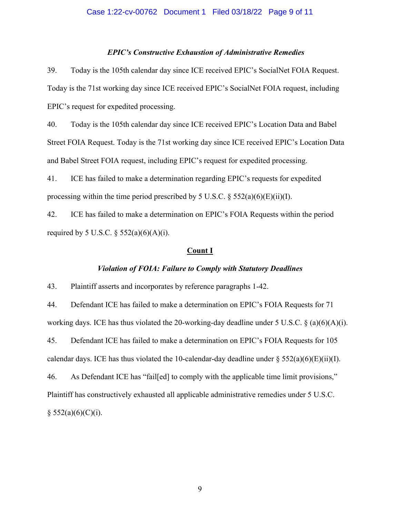#### Case 1:22-cv-00762 Document 1 Filed 03/18/22 Page 9 of 11

#### *EPIC's Constructive Exhaustion of Administrative Remedies*

39. Today is the 105th calendar day since ICE received EPIC's SocialNet FOIA Request. Today is the 71st working day since ICE received EPIC's SocialNet FOIA request, including EPIC's request for expedited processing.

40. Today is the 105th calendar day since ICE received EPIC's Location Data and Babel Street FOIA Request. Today is the 71st working day since ICE received EPIC's Location Data and Babel Street FOIA request, including EPIC's request for expedited processing.

41. ICE has failed to make a determination regarding EPIC's requests for expedited processing within the time period prescribed by 5 U.S.C.  $\S$  552(a)(6)(E)(ii)(I).

42. ICE has failed to make a determination on EPIC's FOIA Requests within the period required by 5 U.S.C.  $\S 552(a)(6)(A)(i)$ .

#### **Count I**

## *Violation of FOIA: Failure to Comply with Statutory Deadlines*

43. Plaintiff asserts and incorporates by reference paragraphs 1-42.

44. Defendant ICE has failed to make a determination on EPIC's FOIA Requests for 71 working days. ICE has thus violated the 20-working-day deadline under 5 U.S.C. § (a)(6)(A)(i).

45. Defendant ICE has failed to make a determination on EPIC's FOIA Requests for 105 calendar days. ICE has thus violated the 10-calendar-day deadline under  $\S 552(a)(6)(E)(ii)(I)$ .

46. As Defendant ICE has "fail[ed] to comply with the applicable time limit provisions," Plaintiff has constructively exhausted all applicable administrative remedies under 5 U.S.C.  $§ 552(a)(6)(C)(i).$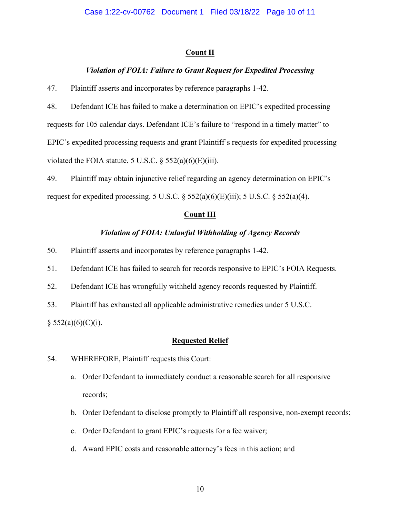## **Count II**

## *Violation of FOIA: Failure to Grant Request for Expedited Processing*

47. Plaintiff asserts and incorporates by reference paragraphs 1-42.

48. Defendant ICE has failed to make a determination on EPIC's expedited processing requests for 105 calendar days. Defendant ICE's failure to "respond in a timely matter" to EPIC's expedited processing requests and grant Plaintiff's requests for expedited processing violated the FOIA statute. 5 U.S.C.  $\S$  552(a)(6)(E)(iii).

49. Plaintiff may obtain injunctive relief regarding an agency determination on EPIC's request for expedited processing. 5 U.S.C.  $\S$  552(a)(6)(E)(iii); 5 U.S.C.  $\S$  552(a)(4).

#### **Count III**

#### *Violation of FOIA: Unlawful Withholding of Agency Records*

50. Plaintiff asserts and incorporates by reference paragraphs 1-42.

51. Defendant ICE has failed to search for records responsive to EPIC's FOIA Requests.

52. Defendant ICE has wrongfully withheld agency records requested by Plaintiff.

53. Plaintiff has exhausted all applicable administrative remedies under 5 U.S.C.

 $§$  552(a)(6)(C)(i).

## **Requested Relief**

## 54. WHEREFORE, Plaintiff requests this Court:

- a. Order Defendant to immediately conduct a reasonable search for all responsive records;
- b. Order Defendant to disclose promptly to Plaintiff all responsive, non-exempt records;
- c. Order Defendant to grant EPIC's requests for a fee waiver;
- d. Award EPIC costs and reasonable attorney's fees in this action; and